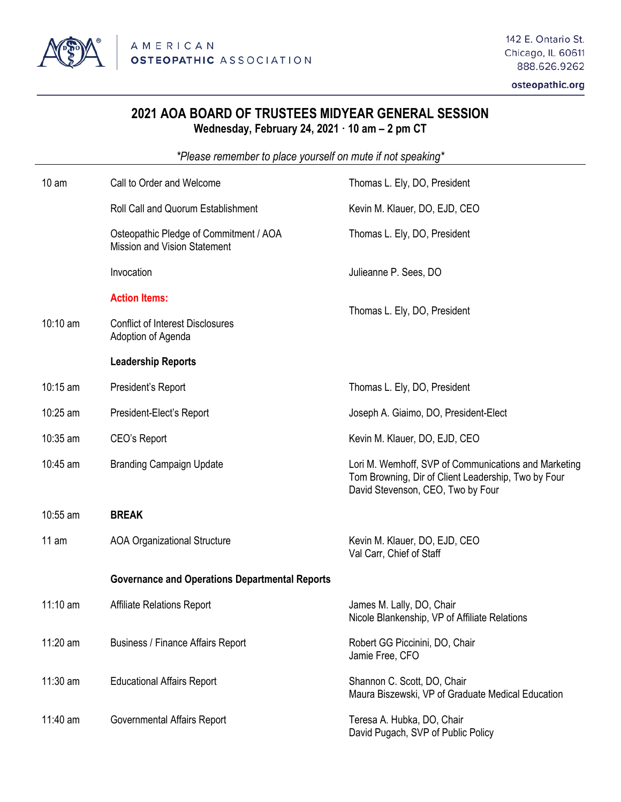

osteopathic.org

## **2021 AOA BOARD OF TRUSTEES MIDYEAR GENERAL SESSION Wednesday, February 24, 2021 10 am – 2 pm CT**

*\*Please remember to place yourself on mute if not speaking\**

| 10 <sub>am</sub> | Call to Order and Welcome                                                     | Thomas L. Ely, DO, President                                                                                                                     |
|------------------|-------------------------------------------------------------------------------|--------------------------------------------------------------------------------------------------------------------------------------------------|
|                  | Roll Call and Quorum Establishment                                            | Kevin M. Klauer, DO, EJD, CEO                                                                                                                    |
|                  | Osteopathic Pledge of Commitment / AOA<br><b>Mission and Vision Statement</b> | Thomas L. Ely, DO, President                                                                                                                     |
|                  | Invocation                                                                    | Julieanne P. Sees, DO                                                                                                                            |
|                  | <b>Action Items:</b>                                                          | Thomas L. Ely, DO, President                                                                                                                     |
| $10:10$ am       | <b>Conflict of Interest Disclosures</b><br>Adoption of Agenda                 |                                                                                                                                                  |
|                  | <b>Leadership Reports</b>                                                     |                                                                                                                                                  |
| 10:15 am         | President's Report                                                            | Thomas L. Ely, DO, President                                                                                                                     |
| 10:25 am         | President-Elect's Report                                                      | Joseph A. Giaimo, DO, President-Elect                                                                                                            |
| 10:35 am         | CEO's Report                                                                  | Kevin M. Klauer, DO, EJD, CEO                                                                                                                    |
| 10:45 am         | <b>Branding Campaign Update</b>                                               | Lori M. Wemhoff, SVP of Communications and Marketing<br>Tom Browning, Dir of Client Leadership, Two by Four<br>David Stevenson, CEO, Two by Four |
| 10:55 am         | <b>BREAK</b>                                                                  |                                                                                                                                                  |
| 11 am            | <b>AOA Organizational Structure</b>                                           | Kevin M. Klauer, DO, EJD, CEO<br>Val Carr, Chief of Staff                                                                                        |
|                  | <b>Governance and Operations Departmental Reports</b>                         |                                                                                                                                                  |
| $11:10$ am       | <b>Affiliate Relations Report</b>                                             | James M. Lally, DO, Chair<br>Nicole Blankenship, VP of Affiliate Relations                                                                       |
| 11:20 am         | <b>Business / Finance Affairs Report</b>                                      | Robert GG Piccinini, DO, Chair<br>Jamie Free, CFO                                                                                                |
| 11:30 am         | <b>Educational Affairs Report</b>                                             | Shannon C. Scott, DO, Chair<br>Maura Biszewski, VP of Graduate Medical Education                                                                 |
| 11:40 am         | Governmental Affairs Report                                                   | Teresa A. Hubka, DO, Chair<br>David Pugach, SVP of Public Policy                                                                                 |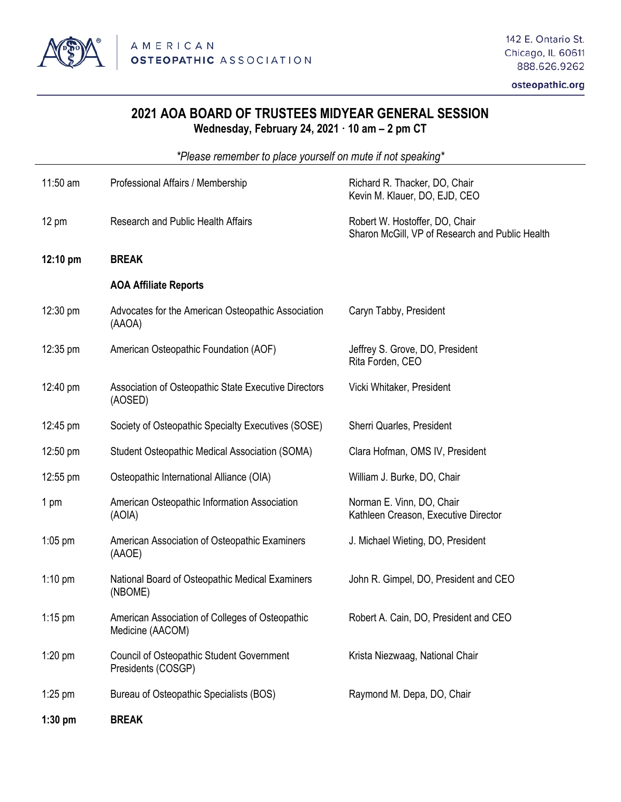

osteopathic.org

## **2021 AOA BOARD OF TRUSTEES MIDYEAR GENERAL SESSION Wednesday, February 24, 2021 10 am – 2 pm CT**

*\*Please remember to place yourself on mute if not speaking\**

| 11:50 am        | Professional Affairs / Membership                                      | Richard R. Thacker, DO, Chair<br>Kevin M. Klauer, DO, EJD, CEO                    |
|-----------------|------------------------------------------------------------------------|-----------------------------------------------------------------------------------|
| $12 \text{ pm}$ | <b>Research and Public Health Affairs</b>                              | Robert W. Hostoffer, DO, Chair<br>Sharon McGill, VP of Research and Public Health |
| 12:10 pm        | <b>BREAK</b>                                                           |                                                                                   |
|                 | <b>AOA Affiliate Reports</b>                                           |                                                                                   |
| 12:30 pm        | Advocates for the American Osteopathic Association<br>(AAOA)           | Caryn Tabby, President                                                            |
| 12:35 pm        | American Osteopathic Foundation (AOF)                                  | Jeffrey S. Grove, DO, President<br>Rita Forden, CEO                               |
| 12:40 pm        | Association of Osteopathic State Executive Directors<br>(AOSED)        | Vicki Whitaker, President                                                         |
| 12:45 pm        | Society of Osteopathic Specialty Executives (SOSE)                     | Sherri Quarles, President                                                         |
| 12:50 pm        | Student Osteopathic Medical Association (SOMA)                         | Clara Hofman, OMS IV, President                                                   |
| 12:55 pm        | Osteopathic International Alliance (OIA)                               | William J. Burke, DO, Chair                                                       |
| 1 pm            | American Osteopathic Information Association<br>(AOIA)                 | Norman E. Vinn, DO, Chair<br>Kathleen Creason, Executive Director                 |
| $1:05$ pm       | American Association of Osteopathic Examiners<br>(AAOE)                | J. Michael Wieting, DO, President                                                 |
| $1:10$ pm       | National Board of Osteopathic Medical Examiners<br>(NBOME)             | John R. Gimpel, DO, President and CEO                                             |
| $1:15$ pm       | American Association of Colleges of Osteopathic<br>Medicine (AACOM)    | Robert A. Cain, DO, President and CEO                                             |
| $1:20$ pm       | <b>Council of Osteopathic Student Government</b><br>Presidents (COSGP) | Krista Niezwaag, National Chair                                                   |
| $1:25$ pm       | Bureau of Osteopathic Specialists (BOS)                                | Raymond M. Depa, DO, Chair                                                        |
| $1:30$ pm       | <b>BREAK</b>                                                           |                                                                                   |